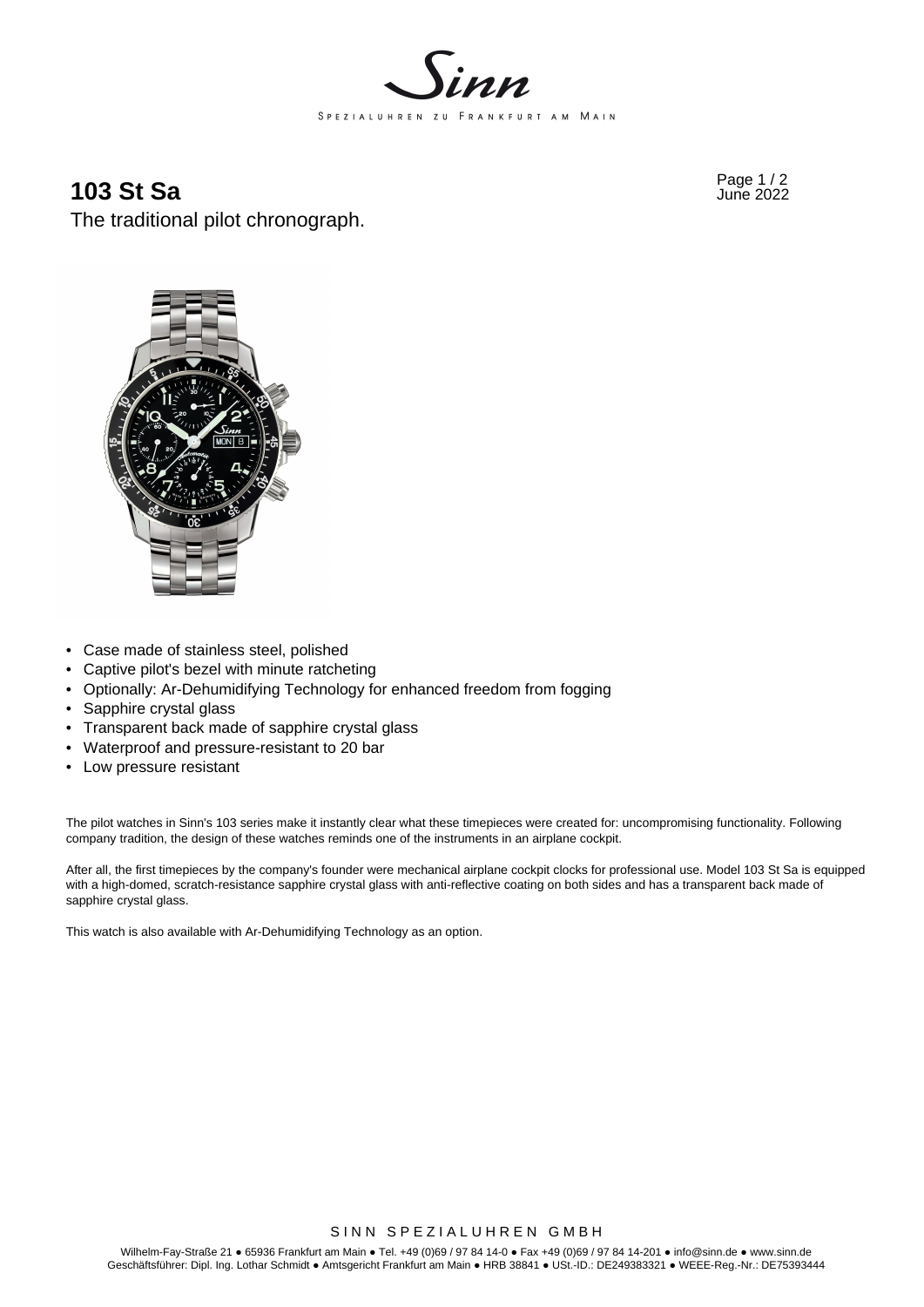

## Page 1 / 2 **103 St Sa** June 2022

The traditional pilot chronograph.



- Case made of stainless steel, polished
- Captive pilot's bezel with minute ratcheting
- Optionally: Ar-Dehumidifying Technology for enhanced freedom from fogging
- Sapphire crystal glass
- Transparent back made of sapphire crystal glass
- Waterproof and pressure-resistant to 20 bar
- Low pressure resistant

The pilot watches in Sinn's 103 series make it instantly clear what these timepieces were created for: uncompromising functionality. Following company tradition, the design of these watches reminds one of the instruments in an airplane cockpit.

After all, the first timepieces by the company's founder were mechanical airplane cockpit clocks for professional use. Model 103 St Sa is equipped with a high-domed, scratch-resistance sapphire crystal glass with anti-reflective coating on both sides and has a transparent back made of sapphire crystal glass.

This watch is also available with Ar-Dehumidifying Technology as an option.